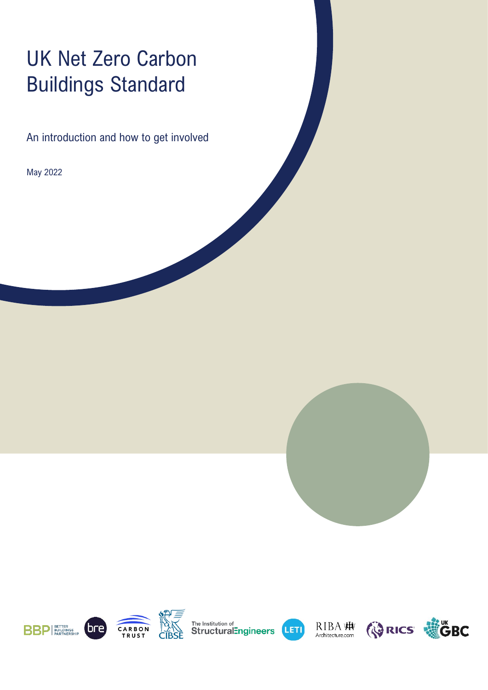# UK Net Zero Carbon Buildings Standard

An introduction and how to get involved

May 2022



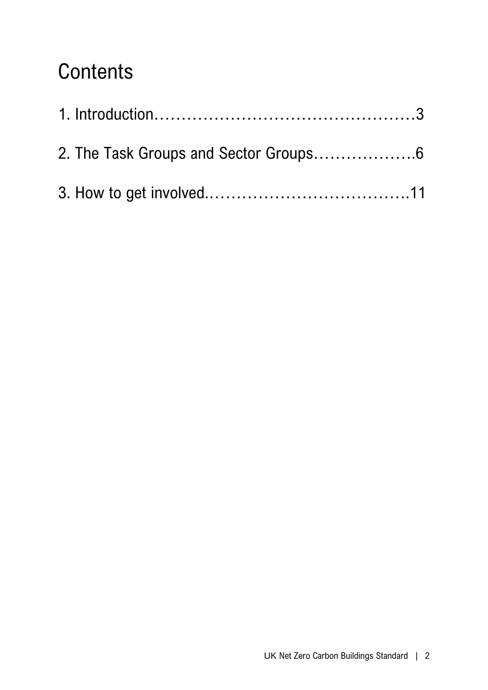## **Contents**

| 2. The Task Groups and Sector Groups6 |  |
|---------------------------------------|--|
|                                       |  |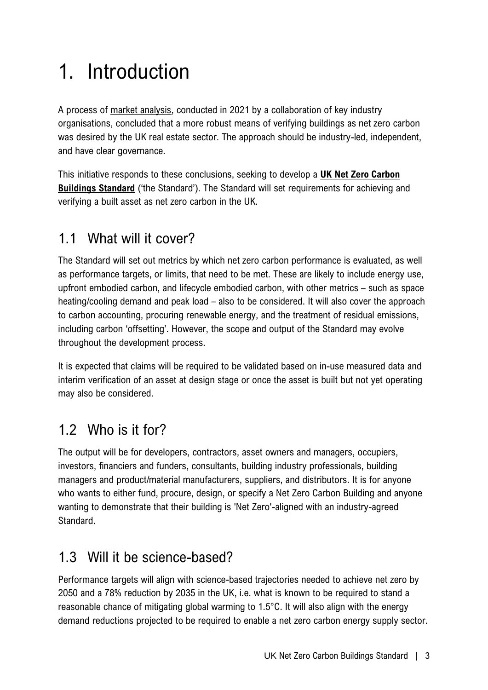# 1. Introduction

A process of [market analysis,](https://www.ukgbc.org/news/net-zero-carbon-buildings-verification-market-analysis/) conducted in 2021 by a collaboration of key industry organisations, concluded that a more robust means of verifying buildings as net zero carbon was desired by the UK real estate sector. The approach should be industry-led, independent, and have clear governance.

This initiative responds to these conclusions, seeking to develop a **UK [Net Zero Carbon](http://www.nzcbuildings.co.uk/)  [Buildings](http://www.nzcbuildings.co.uk/) Standard** ('the Standard'). The Standard will set requirements for achieving and verifying a built asset as net zero carbon in the UK.

## 1.1 What will it cover?

The Standard will set out metrics by which net zero carbon performance is evaluated, as well as performance targets, or limits, that need to be met. These are likely to include energy use, upfront embodied carbon, and lifecycle embodied carbon, with other metrics – such as space heating/cooling demand and peak load – also to be considered. It will also cover the approach to carbon accounting, procuring renewable energy, and the treatment of residual emissions, including carbon 'offsetting'. However, the scope and output of the Standard may evolve throughout the development process.

It is expected that claims will be required to be validated based on in-use measured data and interim verification of an asset at design stage or once the asset is built but not yet operating may also be considered.

## 1.2 Who is it for?

The output will be for developers, contractors, asset owners and managers, occupiers, investors, financiers and funders, consultants, building industry professionals, building managers and product/material manufacturers, suppliers, and distributors. It is for anyone who wants to either fund, procure, design, or specify a Net Zero Carbon Building and anyone wanting to demonstrate that their building is 'Net Zero'-aligned with an industry-agreed Standard.

## 1.3 Will it be science-based?

Performance targets will align with science-based trajectories needed to achieve net zero by 2050 and a 78% reduction by 2035 in the UK, i.e. what is known to be required to stand a reasonable chance of mitigating global warming to 1.5°C. It will also align with the energy demand reductions projected to be required to enable a net zero carbon energy supply sector.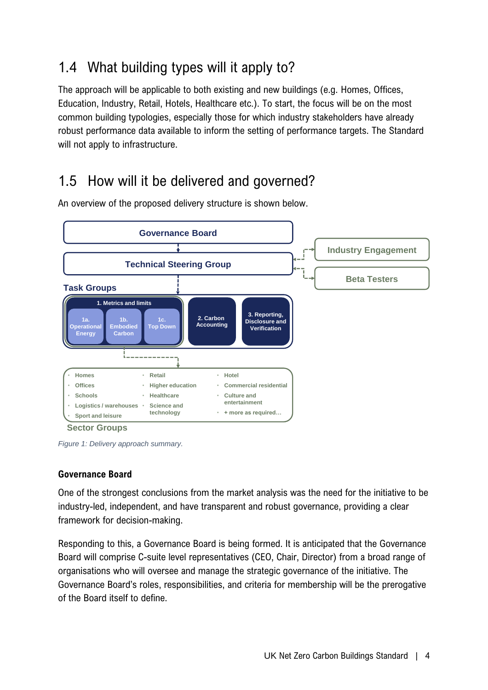## 1.4 What building types will it apply to?

The approach will be applicable to both existing and new buildings (e.g. Homes, Offices, Education, Industry, Retail, Hotels, Healthcare etc.). To start, the focus will be on the most common building typologies, especially those for which industry stakeholders have already robust performance data available to inform the setting of performance targets. The Standard will not apply to infrastructure.

## 1.5 How will it be delivered and governed?



An overview of the proposed delivery structure is shown below.

*Figure 1: Delivery approach summary.*

#### **Governance Board**

One of the strongest conclusions from the market analysis was the need for the initiative to be industry-led, independent, and have transparent and robust governance, providing a clear framework for decision-making.

Responding to this, a Governance Board is being formed. It is anticipated that the Governance Board will comprise C-suite level representatives (CEO, Chair, Director) from a broad range of organisations who will oversee and manage the strategic governance of the initiative. The Governance Board's roles, responsibilities, and criteria for membership will be the prerogative of the Board itself to define.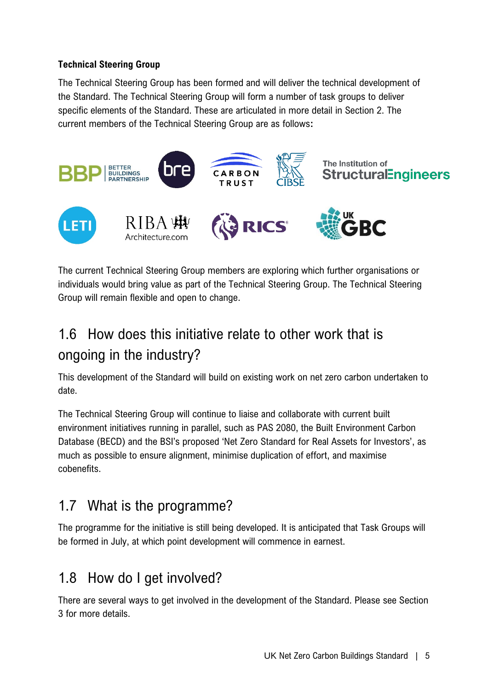#### **Technical Steering Group**

The Technical Steering Group has been formed and will deliver the technical development of the Standard. The Technical Steering Group will form a number of task groups to deliver specific elements of the Standard. These are articulated in more detail in Section 2. The current members of the Technical Steering Group are as follows**:**



The current Technical Steering Group members are exploring which further organisations or individuals would bring value as part of the Technical Steering Group. The Technical Steering Group will remain flexible and open to change.

## 1.6 How does this initiative relate to other work that is ongoing in the industry?

This development of the Standard will build on existing work on net zero carbon undertaken to date.

The Technical Steering Group will continue to liaise and collaborate with current built environment initiatives running in parallel, such as PAS 2080, the Built Environment Carbon Database (BECD) and the BSI's proposed 'Net Zero Standard for Real Assets for Investors', as much as possible to ensure alignment, minimise duplication of effort, and maximise cobenefits.

## 1.7 What is the programme?

The programme for the initiative is still being developed. It is anticipated that Task Groups will be formed in July, at which point development will commence in earnest.

### 1.8 How do I get involved?

There are several ways to get involved in the development of the Standard. Please see Section 3 for more details.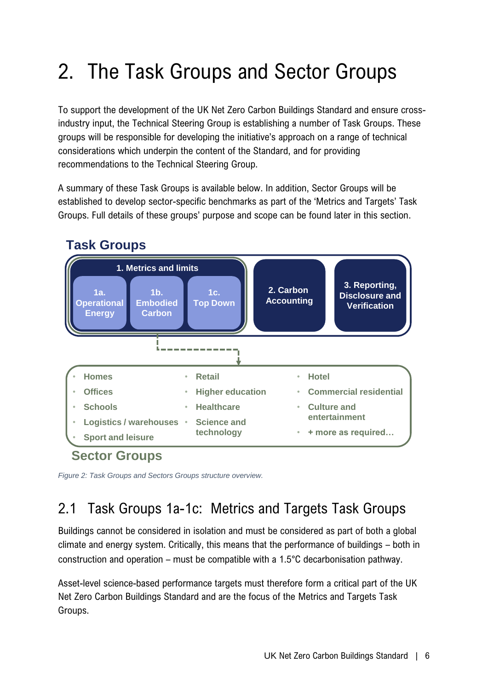# 2. The Task Groups and Sector Groups

To support the development of the UK Net Zero Carbon Buildings Standard and ensure crossindustry input, the Technical Steering Group is establishing a number of Task Groups. These groups will be responsible for developing the initiative's approach on a range of technical considerations which underpin the content of the Standard, and for providing recommendations to the Technical Steering Group.

A summary of these Task Groups is available below. In addition, Sector Groups will be established to develop sector-specific benchmarks as part of the 'Metrics and Targets' Task Groups. Full details of these groups' purpose and scope can be found later in this section.



*Figure 2: Task Groups and Sectors Groups structure overview.*

## 2.1 Task Groups 1a-1c: Metrics and Targets Task Groups

Buildings cannot be considered in isolation and must be considered as part of both a global climate and energy system. Critically, this means that the performance of buildings – both in construction and operation – must be compatible with a 1.5°C decarbonisation pathway.

Asset-level science-based performance targets must therefore form a critical part of the UK Net Zero Carbon Buildings Standard and are the focus of the Metrics and Targets Task Groups.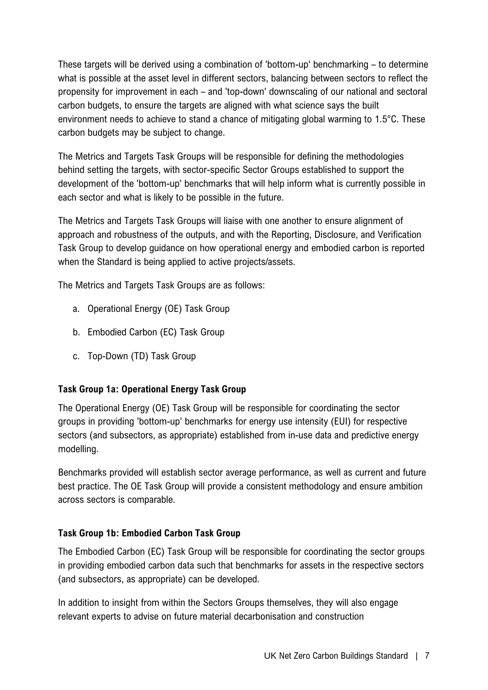These targets will be derived using a combination of 'bottom-up' benchmarking – to determine what is possible at the asset level in different sectors, balancing between sectors to reflect the propensity for improvement in each – and 'top-down' downscaling of our national and sectoral carbon budgets, to ensure the targets are aligned with what science says the built environment needs to achieve to stand a chance of mitigating global warming to 1.5°C. These carbon budgets may be subject to change.

The Metrics and Targets Task Groups will be responsible for defining the methodologies behind setting the targets, with sector-specific Sector Groups established to support the development of the 'bottom-up' benchmarks that will help inform what is currently possible in each sector and what is likely to be possible in the future.

The Metrics and Targets Task Groups will liaise with one another to ensure alignment of approach and robustness of the outputs, and with the Reporting, Disclosure, and Verification Task Group to develop guidance on how operational energy and embodied carbon is reported when the Standard is being applied to active projects/assets.

The Metrics and Targets Task Groups are as follows:

- a. Operational Energy (OE) Task Group
- b. Embodied Carbon (EC) Task Group
- c. Top-Down (TD) Task Group

#### **Task Group 1a: Operational Energy Task Group**

The Operational Energy (OE) Task Group will be responsible for coordinating the sector groups in providing 'bottom-up' benchmarks for energy use intensity (EUI) for respective sectors (and subsectors, as appropriate) established from in-use data and predictive energy modelling.

Benchmarks provided will establish sector average performance, as well as current and future best practice. The OE Task Group will provide a consistent methodology and ensure ambition across sectors is comparable.

#### **Task Group 1b: Embodied Carbon Task Group**

The Embodied Carbon (EC) Task Group will be responsible for coordinating the sector groups in providing embodied carbon data such that benchmarks for assets in the respective sectors (and subsectors, as appropriate) can be developed.

In addition to insight from within the Sectors Groups themselves, they will also engage relevant experts to advise on future material decarbonisation and construction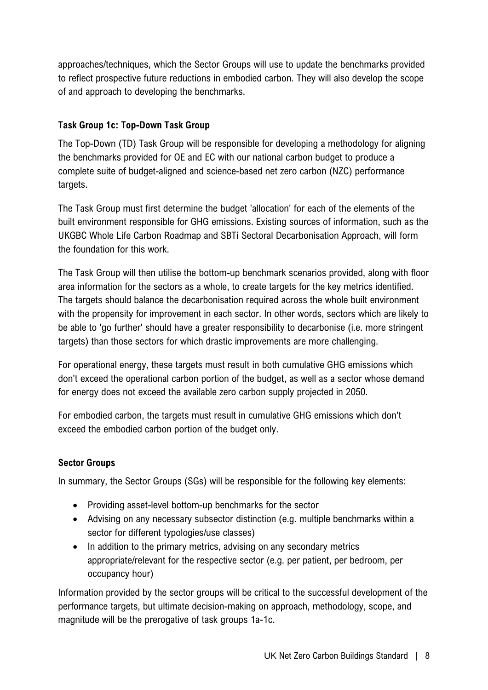approaches/techniques, which the Sector Groups will use to update the benchmarks provided to reflect prospective future reductions in embodied carbon. They will also develop the scope of and approach to developing the benchmarks.

#### **Task Group 1c: Top-Down Task Group**

The Top-Down (TD) Task Group will be responsible for developing a methodology for aligning the benchmarks provided for OE and EC with our national carbon budget to produce a complete suite of budget-aligned and science-based net zero carbon (NZC) performance targets.

The Task Group must first determine the budget 'allocation' for each of the elements of the built environment responsible for GHG emissions. Existing sources of information, such as the UKGBC Whole Life Carbon Roadmap and SBTi Sectoral Decarbonisation Approach, will form the foundation for this work.

The Task Group will then utilise the bottom-up benchmark scenarios provided, along with floor area information for the sectors as a whole, to create targets for the key metrics identified. The targets should balance the decarbonisation required across the whole built environment with the propensity for improvement in each sector. In other words, sectors which are likely to be able to 'go further' should have a greater responsibility to decarbonise (i.e. more stringent targets) than those sectors for which drastic improvements are more challenging.

For operational energy, these targets must result in both cumulative GHG emissions which don't exceed the operational carbon portion of the budget, as well as a sector whose demand for energy does not exceed the available zero carbon supply projected in 2050.

For embodied carbon, the targets must result in cumulative GHG emissions which don't exceed the embodied carbon portion of the budget only.

### **Sector Groups**

In summary, the Sector Groups (SGs) will be responsible for the following key elements:

- Providing asset-level bottom-up benchmarks for the sector
- Advising on any necessary subsector distinction (e.g. multiple benchmarks within a sector for different typologies/use classes)
- In addition to the primary metrics, advising on any secondary metrics appropriate/relevant for the respective sector (e.g. per patient, per bedroom, per occupancy hour)

Information provided by the sector groups will be critical to the successful development of the performance targets, but ultimate decision-making on approach, methodology, scope, and magnitude will be the prerogative of task groups 1a-1c.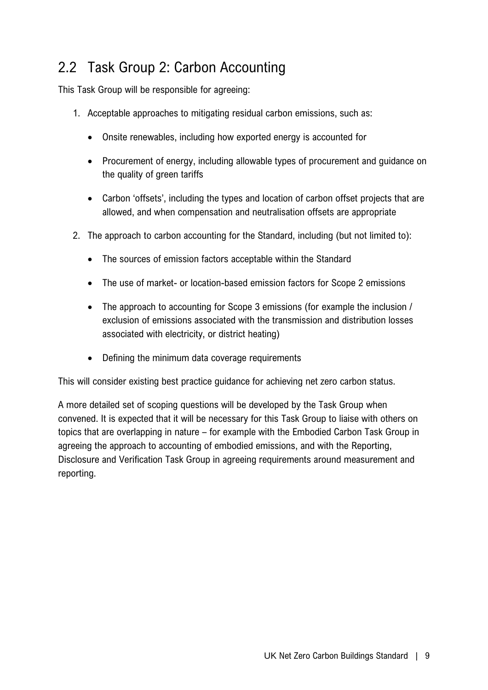## 2.2 Task Group 2: Carbon Accounting

This Task Group will be responsible for agreeing:

- 1. Acceptable approaches to mitigating residual carbon emissions, such as:
	- Onsite renewables, including how exported energy is accounted for
	- Procurement of energy, including allowable types of procurement and guidance on the quality of green tariffs
	- Carbon 'offsets', including the types and location of carbon offset projects that are allowed, and when compensation and neutralisation offsets are appropriate
- 2. The approach to carbon accounting for the Standard, including (but not limited to):
	- The sources of emission factors acceptable within the Standard
	- The use of market- or location-based emission factors for Scope 2 emissions
	- The approach to accounting for Scope 3 emissions (for example the inclusion / exclusion of emissions associated with the transmission and distribution losses associated with electricity, or district heating)
	- Defining the minimum data coverage requirements

This will consider existing best practice guidance for achieving net zero carbon status.

A more detailed set of scoping questions will be developed by the Task Group when convened. It is expected that it will be necessary for this Task Group to liaise with others on topics that are overlapping in nature – for example with the Embodied Carbon Task Group in agreeing the approach to accounting of embodied emissions, and with the Reporting, Disclosure and Verification Task Group in agreeing requirements around measurement and reporting.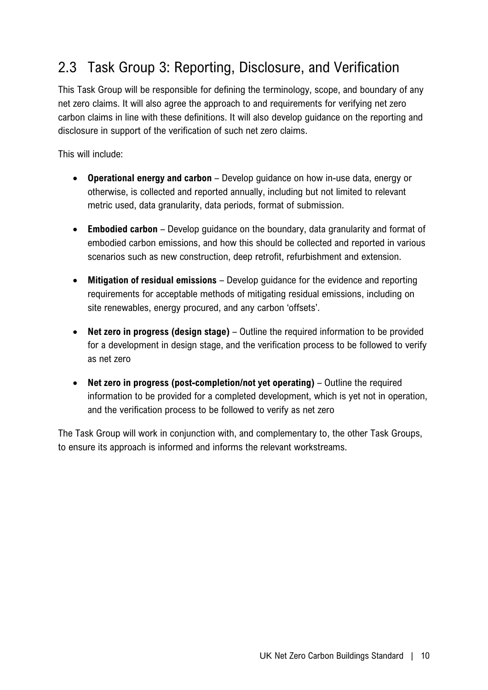## 2.3 Task Group 3: Reporting, Disclosure, and Verification

This Task Group will be responsible for defining the terminology, scope, and boundary of any net zero claims. It will also agree the approach to and requirements for verifying net zero carbon claims in line with these definitions. It will also develop guidance on the reporting and disclosure in support of the verification of such net zero claims.

This will include:

- **Operational energy and carbon** Develop guidance on how in-use data, energy or otherwise, is collected and reported annually, including but not limited to relevant metric used, data granularity, data periods, format of submission.
- **Embodied carbon** Develop guidance on the boundary, data granularity and format of embodied carbon emissions, and how this should be collected and reported in various scenarios such as new construction, deep retrofit, refurbishment and extension.
- **Mitigation of residual emissions** Develop guidance for the evidence and reporting requirements for acceptable methods of mitigating residual emissions, including on site renewables, energy procured, and any carbon 'offsets'.
- **Net zero in progress (design stage)** Outline the required information to be provided for a development in design stage, and the verification process to be followed to verify as net zero
- **Net zero in progress (post-completion/not yet operating)** Outline the required information to be provided for a completed development, which is yet not in operation, and the verification process to be followed to verify as net zero

The Task Group will work in conjunction with, and complementary to, the other Task Groups, to ensure its approach is informed and informs the relevant workstreams.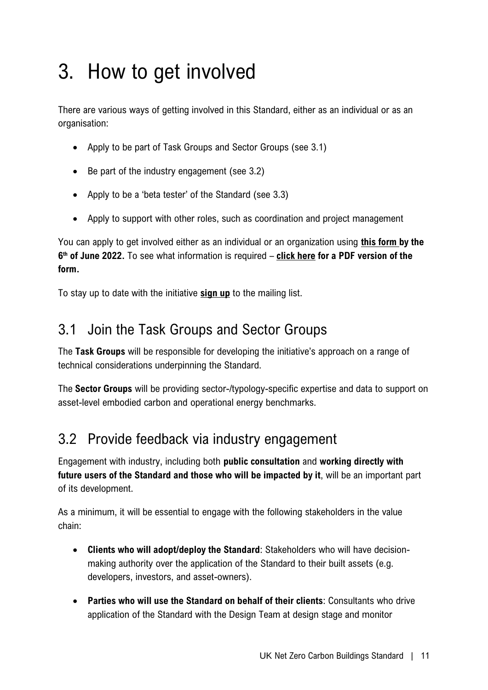# 3. How to get involved

There are various ways of getting involved in this Standard, either as an individual or as an organisation:

- Apply to be part of Task Groups and Sector Groups (see 3.1)
- Be part of the industry engagement (see 3.2)
- Apply to be a 'beta tester' of the Standard (see 3.3)
- Apply to support with other roles, such as coordination and project management

You can apply to get involved either as an individual or an organization using **[this form](https://www.surveymonkey.co.uk/r/NZCB2022) by the 6 th of June 2022.** To see what information is required – **[click here](https://b80d7a04-1c28-45e2-b904-e0715cface93.filesusr.com/ugd/252d09_cfbd8f00ea1d423a8d683a7b5c5b71c7.pdf) for a PDF version of the form.**

To stay up to date with the initiative **[sign up](https://www.surveymonkey.co.uk/r/NZCBmailinglist)** to the mailing list.

### 3.1 Join the Task Groups and Sector Groups

The **Task Groups** will be responsible for developing the initiative's approach on a range of technical considerations underpinning the Standard.

The **Sector Groups** will be providing sector-/typology-specific expertise and data to support on asset-level embodied carbon and operational energy benchmarks.

### 3.2 Provide feedback via industry engagement

Engagement with industry, including both **public consultation** and **working directly with future users of the Standard and those who will be impacted by it**, will be an important part of its development.

As a minimum, it will be essential to engage with the following stakeholders in the value chain:

- **Clients who will adopt/deploy the Standard**: Stakeholders who will have decisionmaking authority over the application of the Standard to their built assets (e.g. developers, investors, and asset-owners).
- **Parties who will use the Standard on behalf of their clients**: Consultants who drive application of the Standard with the Design Team at design stage and monitor